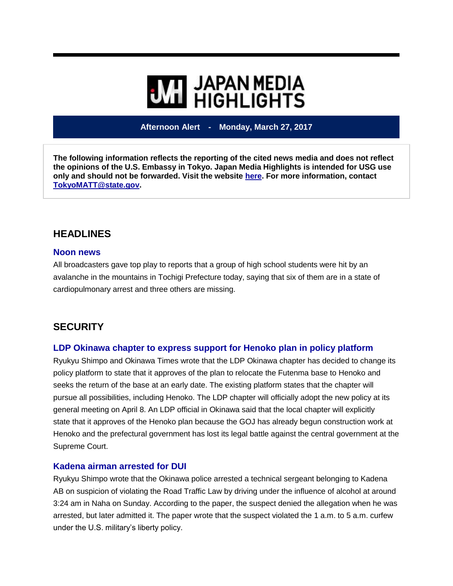# **WE HIGHLIGHTS**

**Afternoon Alert - Monday, March 27, 2017**

**The following information reflects the reporting of the cited news media and does not reflect the opinions of the U.S. Embassy in Tokyo. Japan Media Highlights is intended for USG use only and should not be forwarded. Visit the website [here.](https://jmh.usembassy.gov/) For more information, contact [TokyoMATT@state.gov.](mailto:TokyoMATT@state.gov)**

### **HEADLINES**

#### **Noon news**

All broadcasters gave top play to reports that a group of high school students were hit by an avalanche in the mountains in Tochigi Prefecture today, saying that six of them are in a state of cardiopulmonary arrest and three others are missing.

## **SECURITY**

#### **LDP Okinawa chapter to express support for Henoko plan in policy platform**

Ryukyu Shimpo and Okinawa Times wrote that the LDP Okinawa chapter has decided to change its policy platform to state that it approves of the plan to relocate the Futenma base to Henoko and seeks the return of the base at an early date. The existing platform states that the chapter will pursue all possibilities, including Henoko. The LDP chapter will officially adopt the new policy at its general meeting on April 8. An LDP official in Okinawa said that the local chapter will explicitly state that it approves of the Henoko plan because the GOJ has already begun construction work at Henoko and the prefectural government has lost its legal battle against the central government at the Supreme Court.

#### **Kadena airman arrested for DUI**

Ryukyu Shimpo wrote that the Okinawa police arrested a technical sergeant belonging to Kadena AB on suspicion of violating the Road Traffic Law by driving under the influence of alcohol at around 3:24 am in Naha on Sunday. According to the paper, the suspect denied the allegation when he was arrested, but later admitted it. The paper wrote that the suspect violated the 1 a.m. to 5 a.m. curfew under the U.S. military's liberty policy.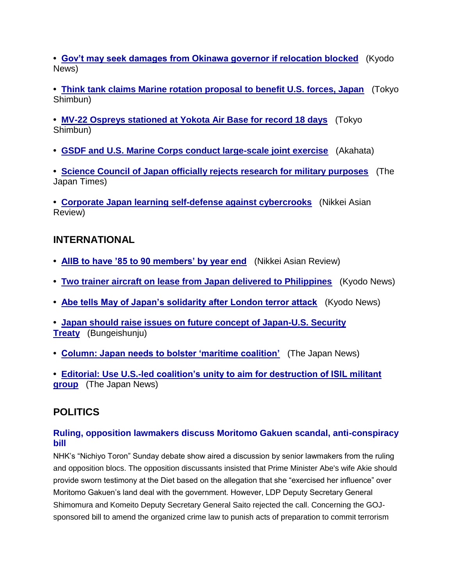**• [Gov't may seek damages from Okinawa governor if relocation blocked](https://jmh.usembassy.gov/2017032717890/)** (Kyodo News)

**• [Think tank claims Marine rotation proposal to benefit U.S. forces, Japan](https://jmh.usembassy.gov/2017032717861/)** (Tokyo Shimbun)

**• [MV-22 Ospreys stationed at Yokota Air Base for record 18 days](https://jmh.usembassy.gov/2017032717862/)** (Tokyo Shimbun)

**• [GSDF and U.S. Marine Corps conduct large-scale joint exercise](https://jmh.usembassy.gov/2017032717887/)** (Akahata)

**• Science [Council of Japan officially rejects research for military purposes](https://jmh.usembassy.gov/2017032717884/)** (The Japan Times)

**• [Corporate Japan learning self-defense against cybercrooks](https://jmh.usembassy.gov/2017032717886/)** (Nikkei Asian Review)

## **INTERNATIONAL**

- **• [AIIB to have '85 to 90 members' by year end](https://jmh.usembassy.gov/2017032717894/)** (Nikkei Asian Review)
- **• [Two trainer aircraft on lease from Japan delivered to Philippines](https://jmh.usembassy.gov/2017032717892/)** (Kyodo News)
- **• [Abe tells May of Japan's solidarity after London terror attack](https://jmh.usembassy.gov/2017032717866/)** (Kyodo News)
- **• [Japan should raise issues on future concept of Japan-U.S. Security](https://jmh.usembassy.gov/2017032717867/)  [Treaty](https://jmh.usembassy.gov/2017032717867/)** (Bungeishunju)
- **• [Column: Japan needs to bolster 'maritime coalition'](https://jmh.usembassy.gov/2017032717875/)** (The Japan News)

**• [Editorial: Use U.S.-led coalition's unity to aim for destruction of ISIL militant](https://jmh.usembassy.gov/2017032717878/)  [group](https://jmh.usembassy.gov/2017032717878/)** (The Japan News)

## **POLITICS**

#### **Ruling, opposition lawmakers discuss Moritomo Gakuen scandal, anti-conspiracy bill**

NHK's "Nichiyo Toron" Sunday debate show aired a discussion by senior lawmakers from the ruling and opposition blocs. The opposition discussants insisted that Prime Minister Abe's wife Akie should provide sworn testimony at the Diet based on the allegation that she "exercised her influence" over Moritomo Gakuen's land deal with the government. However, LDP Deputy Secretary General Shimomura and Komeito Deputy Secretary General Saito rejected the call. Concerning the GOJsponsored bill to amend the organized crime law to punish acts of preparation to commit terrorism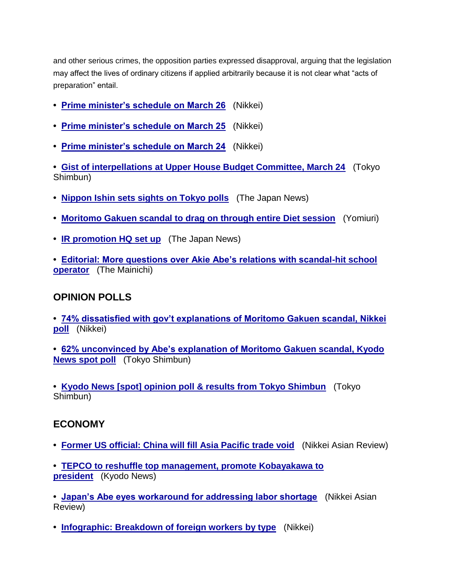and other serious crimes, the opposition parties expressed disapproval, arguing that the legislation may affect the lives of ordinary citizens if applied arbitrarily because it is not clear what "acts of preparation" entail.

- **• [Prime minister's schedule on March 26](https://jmh.usembassy.gov/2017032717840/)** (Nikkei)
- **• [Prime minister's schedule on March 25](https://jmh.usembassy.gov/2017032717839/)** (Nikkei)
- **• [Prime minister's schedule on March 24](https://jmh.usembassy.gov/2017032717837/)** (Nikkei)

**• [Gist of interpellations at Upper House Budget Committee, March 24](https://jmh.usembassy.gov/2017032717845/)** (Tokyo Shimbun)

- **• [Nippon Ishin sets sights on Tokyo polls](https://jmh.usembassy.gov/2017032717865/)** (The Japan News)
- **• [Moritomo Gakuen scandal to drag on through entire Diet session](https://jmh.usembassy.gov/2017032717853/)** (Yomiuri)
- **• [IR promotion HQ set up](https://jmh.usembassy.gov/2017032717891/)** (The Japan News)
- **• [Editorial: More questions over Akie Abe's relations with scandal-hit school](https://jmh.usembassy.gov/2017032717877/)  [operator](https://jmh.usembassy.gov/2017032717877/)** (The Mainichi)

#### **OPINION POLLS**

**• [74% dissatisfied with gov't explanations of Moritomo Gakuen scandal, Nikkei](https://jmh.usembassy.gov/2017032717873/)  [poll](https://jmh.usembassy.gov/2017032717873/)** (Nikkei)

**• [62% unconvinced by Abe's explanation of Moritomo Gakuen scandal, Kyodo](https://jmh.usembassy.gov/2017032717855/)  [News spot poll](https://jmh.usembassy.gov/2017032717855/)** (Tokyo Shimbun)

**• [Kyodo News \[spot\] opinion poll & results from Tokyo Shimbun](https://jmh.usembassy.gov/2017032717858/)** (Tokyo Shimbun)

#### **ECONOMY**

- **• [Former US official: China will fill Asia Pacific trade void](https://jmh.usembassy.gov/2017032717893/)** (Nikkei Asian Review)
- **• [TEPCO to reshuffle top management, promote Kobayakawa to](https://jmh.usembassy.gov/2017032717880/)  [president](https://jmh.usembassy.gov/2017032717880/)** (Kyodo News)

**• [Japan's Abe eyes workaround for addressing labor shortage](https://jmh.usembassy.gov/2017032717885/)** (Nikkei Asian Review)

**• [Infographic: Breakdown of foreign workers by type](https://jmh.usembassy.gov/2017032717870/)** (Nikkei)